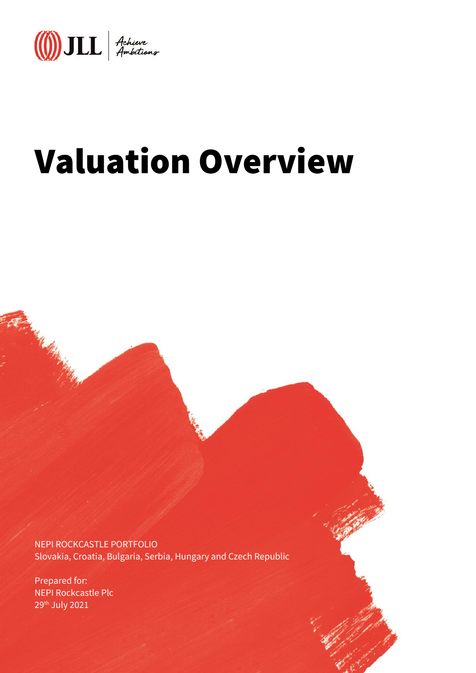

# Valuation Overview

NEPI ROCKCASTLE PORTFOLIO Slovakia, Croatia, Bulgaria, Serbia, Hungary and Czech Republic

Prepared for: NEPI Rockcastle Plc 29th July 2021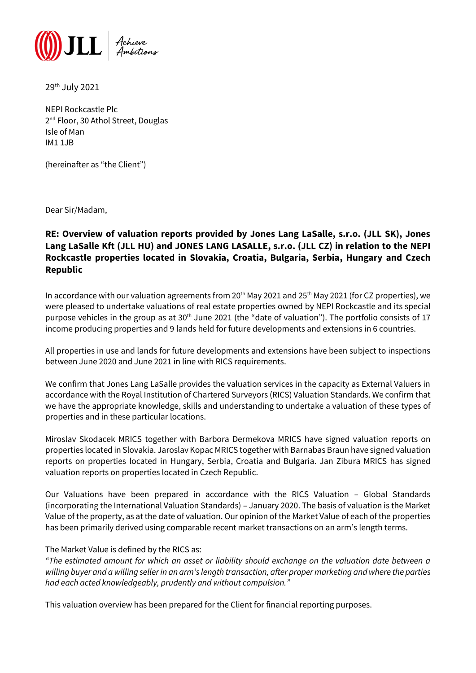

29th July 2021

NEPI Rockcastle Plc 2 nd Floor, 30 Athol Street, Douglas Isle of Man IM1 1JB

(hereinafter as "the Client")

Dear Sir/Madam,

# **RE: Overview of valuation reports provided by Jones Lang LaSalle, s.r.o. (JLL SK), Jones Lang LaSalle Kft (JLL HU) and JONES LANG LASALLE, s.r.o. (JLL CZ) in relation to the NEPI Rockcastle properties located in Slovakia, Croatia, Bulgaria, Serbia, Hungary and Czech Republic**

In accordance with our valuation agreements from  $20^{th}$  May 2021 and 25<sup>th</sup> May 2021 (for CZ properties), we were pleased to undertake valuations of real estate properties owned by NEPI Rockcastle and its special purpose vehicles in the group as at 30<sup>th</sup> June 2021 (the "date of valuation"). The portfolio consists of 17 income producing properties and 9 lands held for future developments and extensions in 6 countries.

All properties in use and lands for future developments and extensions have been subject to inspections between June 2020 and June 2021 in line with RICS requirements.

We confirm that Jones Lang LaSalle provides the valuation services in the capacity as External Valuers in accordance with the Royal Institution of Chartered Surveyors (RICS) Valuation Standards. We confirm that we have the appropriate knowledge, skills and understanding to undertake a valuation of these types of properties and in these particular locations.

Miroslav Skodacek MRICS together with Barbora Dermekova MRICS have signed valuation reports on properties located in Slovakia. Jaroslav Kopac MRICS together with Barnabas Braun have signed valuation reports on properties located in Hungary, Serbia, Croatia and Bulgaria. Jan Zibura MRICS has signed valuation reports on properties located in Czech Republic.

Our Valuations have been prepared in accordance with the RICS Valuation – Global Standards (incorporating the International Valuation Standards) – January 2020. The basis of valuation is the Market Value of the property, as at the date of valuation. Our opinion of the Market Value of each of the properties has been primarily derived using comparable recent market transactions on an arm's length terms.

# The Market Value is defined by the RICS as:

*"The estimated amount for which an asset or liability should exchange on the valuation date between a willing buyer and a willing seller in an arm's length transaction, after proper marketing and where the parties had each acted knowledgeably, prudently and without compulsion."*

This valuation overview has been prepared for the Client for financial reporting purposes.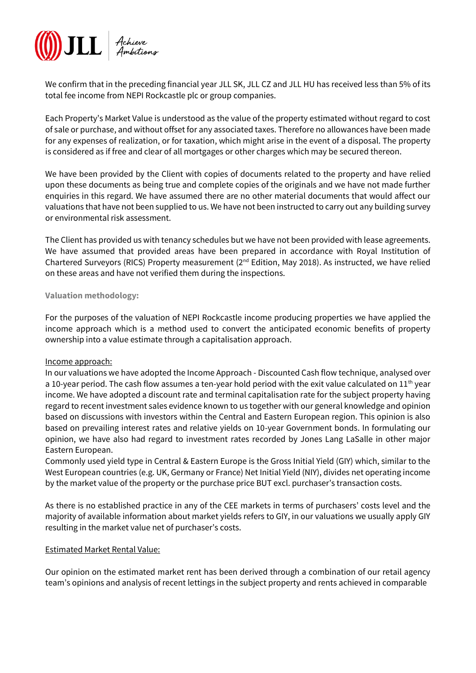

We confirm that in the preceding financial year JLL SK, JLL CZ and JLL HU has received less than 5% of its total fee income from NEPI Rockcastle plc or group companies.

Each Property's Market Value is understood as the value of the property estimated without regard to cost of sale or purchase, and without offset for any associated taxes. Therefore no allowances have been made for any expenses of realization, or for taxation, which might arise in the event of a disposal. The property is considered as if free and clear of all mortgages or other charges which may be secured thereon.

We have been provided by the Client with copies of documents related to the property and have relied upon these documents as being true and complete copies of the originals and we have not made further enquiries in this regard. We have assumed there are no other material documents that would affect our valuations that have not been supplied to us. We have not been instructed to carry out any building survey or environmental risk assessment.

The Client has provided us with tenancy schedules but we have not been provided with lease agreements. We have assumed that provided areas have been prepared in accordance with Royal Institution of Chartered Surveyors (RICS) Property measurement (2nd Edition, May 2018). As instructed, we have relied on these areas and have not verified them during the inspections.

#### **Valuation methodology:**

For the purposes of the valuation of NEPI Rockcastle income producing properties we have applied the income approach which is a method used to convert the anticipated economic benefits of property ownership into a value estimate through a capitalisation approach.

#### Income approach:

In our valuations we have adopted the Income Approach - Discounted Cash flow technique, analysed over a 10-year period. The cash flow assumes a ten-year hold period with the exit value calculated on 11<sup>th</sup> year income. We have adopted a discount rate and terminal capitalisation rate for the subject property having regard to recent investment sales evidence known to us together with our general knowledge and opinion based on discussions with investors within the Central and Eastern European region. This opinion is also based on prevailing interest rates and relative yields on 10-year Government bonds. In formulating our opinion, we have also had regard to investment rates recorded by Jones Lang LaSalle in other major Eastern European.

Commonly used yield type in Central & Eastern Europe is the Gross Initial Yield (GIY) which, similar to the West European countries (e.g. UK, Germany or France) Net Initial Yield (NIY), divides net operating income by the market value of the property or the purchase price BUT excl. purchaser's transaction costs.

As there is no established practice in any of the CEE markets in terms of purchasers' costs level and the majority of available information about market yields refers to GIY, in our valuations we usually apply GIY resulting in the market value net of purchaser's costs.

# Estimated Market Rental Value:

Our opinion on the estimated market rent has been derived through a combination of our retail agency team's opinions and analysis of recent lettings in the subject property and rents achieved in comparable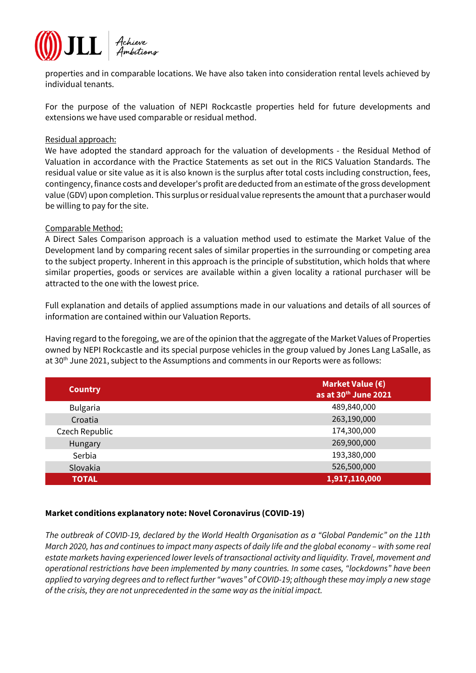

properties and in comparable locations. We have also taken into consideration rental levels achieved by individual tenants.

For the purpose of the valuation of NEPI Rockcastle properties held for future developments and extensions we have used comparable or residual method.

#### Residual approach:

We have adopted the standard approach for the valuation of developments - the Residual Method of Valuation in accordance with the Practice Statements as set out in the RICS Valuation Standards. The residual value or site value as it is also known is the surplus after total costs including construction, fees, contingency, finance costs and developer's profit are deducted from an estimate of the gross development value (GDV) upon completion. This surplus or residual value represents the amount that a purchaser would be willing to pay for the site.

#### Comparable Method:

A Direct Sales Comparison approach is a valuation method used to estimate the Market Value of the Development land by comparing recent sales of similar properties in the surrounding or competing area to the subject property. Inherent in this approach is the principle of substitution, which holds that where similar properties, goods or services are available within a given locality a rational purchaser will be attracted to the one with the lowest price.

Full explanation and details of applied assumptions made in our valuations and details of all sources of information are contained within our Valuation Reports.

Having regard to the foregoing, we are of the opinion that the aggregate of the Market Values of Properties owned by NEPI Rockcastle and its special purpose vehicles in the group valued by Jones Lang LaSalle, as at 30th June 2021, subject to the Assumptions and comments in our Reports were as follows:

| <b>Country</b>  | Market Value $(\epsilon)$<br>as at 30 <sup>th</sup> June 2021 |
|-----------------|---------------------------------------------------------------|
| <b>Bulgaria</b> | 489,840,000                                                   |
| Croatia         | 263,190,000                                                   |
| Czech Republic  | 174,300,000                                                   |
| Hungary         | 269,900,000                                                   |
| Serbia          | 193,380,000                                                   |
| Slovakia        | 526,500,000                                                   |
| <b>TOTAL</b>    | 1,917,110,000                                                 |

# **Market conditions explanatory note: Novel Coronavirus (COVID-19)**

*The outbreak of COVID-19, declared by the World Health Organisation as a "Global Pandemic" on the 11th March 2020, has and continues to impact many aspects of daily life and the global economy – with some real estate markets having experienced lower levels of transactional activity and liquidity. Travel, movement and operational restrictions have been implemented by many countries. In some cases, "lockdowns" have been applied to varying degrees and to reflect further "waves" of COVID-19; although these may imply a new stage of the crisis, they are not unprecedented in the same way as the initial impact.*